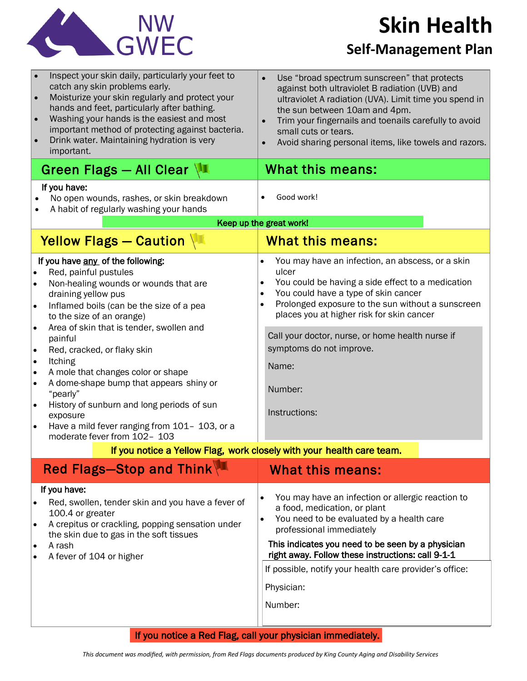

# **Skin Health**

#### **Self-Management Plan**

| Inspect your skin daily, particularly your feet to<br>$\bullet$<br>catch any skin problems early.<br>Moisturize your skin regularly and protect your<br>$\bullet$<br>hands and feet, particularly after bathing.<br>Washing your hands is the easiest and most<br>important method of protecting against bacteria.<br>Drink water. Maintaining hydration is very<br>important.                                                                                                                                                                                                                                                                                                        | Use "broad spectrum sunscreen" that protects<br>against both ultraviolet B radiation (UVB) and<br>ultraviolet A radiation (UVA). Limit time you spend in<br>the sun between 10am and 4pm.<br>Trim your fingernails and toenails carefully to avoid<br>$\bullet$<br>small cuts or tears.<br>Avoid sharing personal items, like towels and razors.<br>$\bullet$                                                                     |
|---------------------------------------------------------------------------------------------------------------------------------------------------------------------------------------------------------------------------------------------------------------------------------------------------------------------------------------------------------------------------------------------------------------------------------------------------------------------------------------------------------------------------------------------------------------------------------------------------------------------------------------------------------------------------------------|-----------------------------------------------------------------------------------------------------------------------------------------------------------------------------------------------------------------------------------------------------------------------------------------------------------------------------------------------------------------------------------------------------------------------------------|
| Green Flags - All Clear                                                                                                                                                                                                                                                                                                                                                                                                                                                                                                                                                                                                                                                               | What this means:                                                                                                                                                                                                                                                                                                                                                                                                                  |
| If you have:<br>No open wounds, rashes, or skin breakdown<br>A habit of regularly washing your hands                                                                                                                                                                                                                                                                                                                                                                                                                                                                                                                                                                                  | Good work!                                                                                                                                                                                                                                                                                                                                                                                                                        |
| Keep up the great work!                                                                                                                                                                                                                                                                                                                                                                                                                                                                                                                                                                                                                                                               |                                                                                                                                                                                                                                                                                                                                                                                                                                   |
| Yellow Flags - Caution                                                                                                                                                                                                                                                                                                                                                                                                                                                                                                                                                                                                                                                                | <b>What this means:</b>                                                                                                                                                                                                                                                                                                                                                                                                           |
| If you have any of the following:<br>Red, painful pustules<br>$\bullet$<br>Non-healing wounds or wounds that are<br>$\bullet$<br>draining yellow pus<br>Inflamed boils (can be the size of a pea<br>$\bullet$<br>to the size of an orange)<br>Area of skin that is tender, swollen and<br>$\bullet$<br>painful<br>Red, cracked, or flaky skin<br>$\bullet$<br><b>Itching</b><br>$\bullet$<br>A mole that changes color or shape<br>$\bullet$<br>A dome-shape bump that appears shiny or<br>$\bullet$<br>"pearly"<br>History of sunburn and long periods of sun<br>$\bullet$<br>exposure<br>Have a mild fever ranging from 101- 103, or a<br>$\bullet$<br>moderate fever from 102- 103 | You may have an infection, an abscess, or a skin<br>$\bullet$<br>ulcer<br>You could be having a side effect to a medication<br>$\bullet$<br>You could have a type of skin cancer<br>$\bullet$<br>Prolonged exposure to the sun without a sunscreen<br>$\bullet$<br>places you at higher risk for skin cancer<br>Call your doctor, nurse, or home health nurse if<br>symptoms do not improve.<br>Name:<br>Number:<br>Instructions: |
| If you notice a Yellow Flag, work closely with your health care team.                                                                                                                                                                                                                                                                                                                                                                                                                                                                                                                                                                                                                 |                                                                                                                                                                                                                                                                                                                                                                                                                                   |
| Red Flags-Stop and Think                                                                                                                                                                                                                                                                                                                                                                                                                                                                                                                                                                                                                                                              | <b>What this means:</b>                                                                                                                                                                                                                                                                                                                                                                                                           |
| If you have:<br>Red, swollen, tender skin and you have a fever of<br>100.4 or greater<br>A crepitus or crackling, popping sensation under<br>the skin due to gas in the soft tissues<br>A rash<br>A fever of 104 or higher                                                                                                                                                                                                                                                                                                                                                                                                                                                            | You may have an infection or allergic reaction to<br>$\bullet$<br>a food, medication, or plant<br>You need to be evaluated by a health care<br>$\bullet$<br>professional immediately<br>This indicates you need to be seen by a physician<br>right away. Follow these instructions: call 9-1-1<br>If possible, notify your health care provider's office:<br>Physician:<br>Number:                                                |
| If you notice a Red Flag, call your physician immediately.                                                                                                                                                                                                                                                                                                                                                                                                                                                                                                                                                                                                                            |                                                                                                                                                                                                                                                                                                                                                                                                                                   |